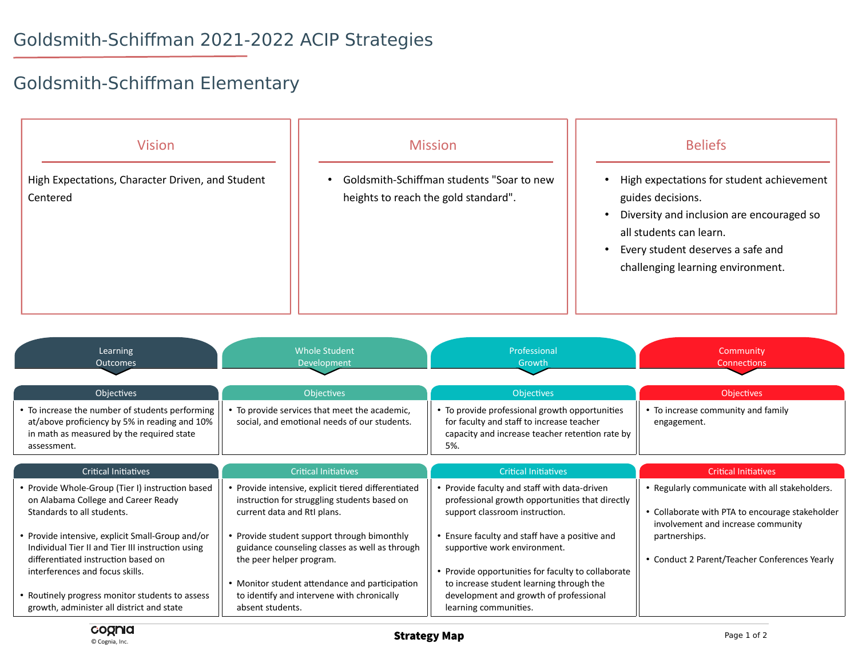## Goldsmith-Schiffman 2021-2022 ACIP Strategies

## Goldsmith-Schiffman Elementary



| Learning<br><b>Outcomes</b>                                                                                                                                                | <b>Whole Student</b><br>Development                                                                                                          | Professional<br>Growth                                                                                                                                                     | Community<br><b>Connections</b>                                                                        |
|----------------------------------------------------------------------------------------------------------------------------------------------------------------------------|----------------------------------------------------------------------------------------------------------------------------------------------|----------------------------------------------------------------------------------------------------------------------------------------------------------------------------|--------------------------------------------------------------------------------------------------------|
| Objectives<br>• To increase the number of students performing<br>at/above proficiency by 5% in reading and 10%<br>in math as measured by the required state<br>assessment. | <b>Objectives</b><br>To provide services that meet the academic,<br>social, and emotional needs of our students.                             | <b>Objectives</b><br>• To provide professional growth opportunities<br>for faculty and staff to increase teacher<br>capacity and increase teacher retention rate by<br>5%. | <b>Objectives</b><br>• To increase community and family<br>engagement.                                 |
| <b>Critical Initiatives</b><br>• Provide Whole-Group (Tier I) instruction based<br>on Alabama College and Career Ready                                                     | <b>Critical Initiatives</b><br>• Provide intensive, explicit tiered differentiated<br>instruction for struggling students based on           | <b>Critical Initiatives</b><br>• Provide faculty and staff with data-driven<br>professional growth opportunities that directly                                             | <b>Critical Initiatives</b><br>• Regularly communicate with all stakeholders.                          |
| Standards to all students.<br>• Provide intensive, explicit Small-Group and/or<br>Individual Tier II and Tier III instruction using<br>differentiated instruction based on | current data and RtI plans.<br>• Provide student support through bimonthly<br>guidance counseling classes as well as through                 | support classroom instruction.<br>• Ensure faculty and staff have a positive and<br>supportive work environment.                                                           | • Collaborate with PTA to encourage stakeholder<br>involvement and increase community<br>partnerships. |
| interferences and focus skills.<br>• Routinely progress monitor students to assess<br>growth, administer all district and state                                            | the peer helper program.<br>• Monitor student attendance and participation<br>to identify and intervene with chronically<br>absent students. | • Provide opportunities for faculty to collaborate<br>to increase student learning through the<br>development and growth of professional<br>learning communities.          | • Conduct 2 Parent/Teacher Conferences Yearly                                                          |